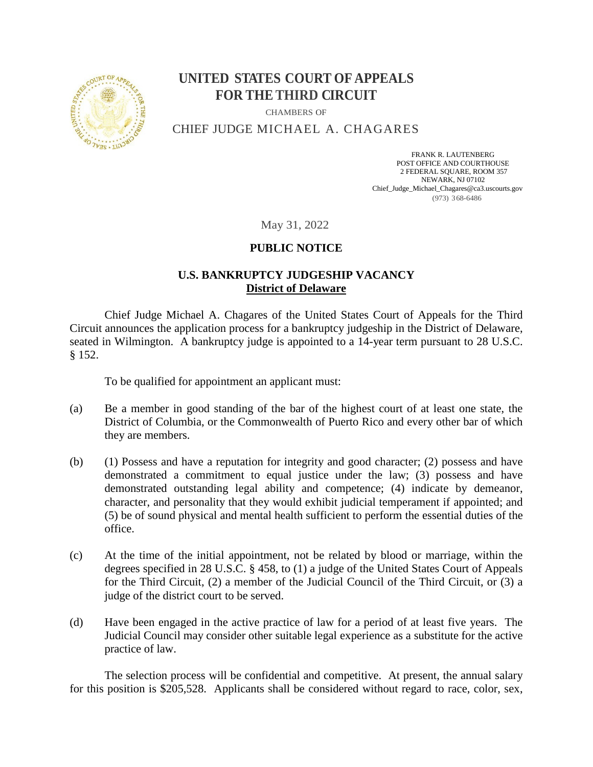

## **UNITED STATES COURT OF APPEALS FOR THE THIRD CIRCUIT**

CHAMBERS OF

CHIEF JUDGE MICHAEL A. CHAGARES

FRANK R. LAUTENBERG POST OFFICE AND COURTHOUSE 2 FEDERAL SQUARE, ROOM 357 NEWARK, NJ 07102 Chief\_Judge\_Michael\_Chagares@ca3.uscourts.gov (973) 368-6486

May 31, 2022

## **PUBLIC NOTICE**

## **U.S. BANKRUPTCY JUDGESHIP VACANCY District of Delaware**

Chief Judge Michael A. Chagares of the United States Court of Appeals for the Third Circuit announces the application process for a bankruptcy judgeship in the District of Delaware, seated in Wilmington. A bankruptcy judge is appointed to a 14-year term pursuant to 28 U.S.C. § 152.

To be qualified for appointment an applicant must:

- (a) Be a member in good standing of the bar of the highest court of at least one state, the District of Columbia, or the Commonwealth of Puerto Rico and every other bar of which they are members.
- (b) (1) Possess and have a reputation for integrity and good character; (2) possess and have demonstrated a commitment to equal justice under the law; (3) possess and have demonstrated outstanding legal ability and competence; (4) indicate by demeanor, character, and personality that they would exhibit judicial temperament if appointed; and (5) be of sound physical and mental health sufficient to perform the essential duties of the office.
- (c) At the time of the initial appointment, not be related by blood or marriage, within the degrees specified in 28 U.S.C. § 458, to (1) a judge of the United States Court of Appeals for the Third Circuit, (2) a member of the Judicial Council of the Third Circuit, or (3) a judge of the district court to be served.
- (d) Have been engaged in the active practice of law for a period of at least five years. The Judicial Council may consider other suitable legal experience as a substitute for the active practice of law.

The selection process will be confidential and competitive. At present, the annual salary for this position is \$205,528. Applicants shall be considered without regard to race, color, sex,